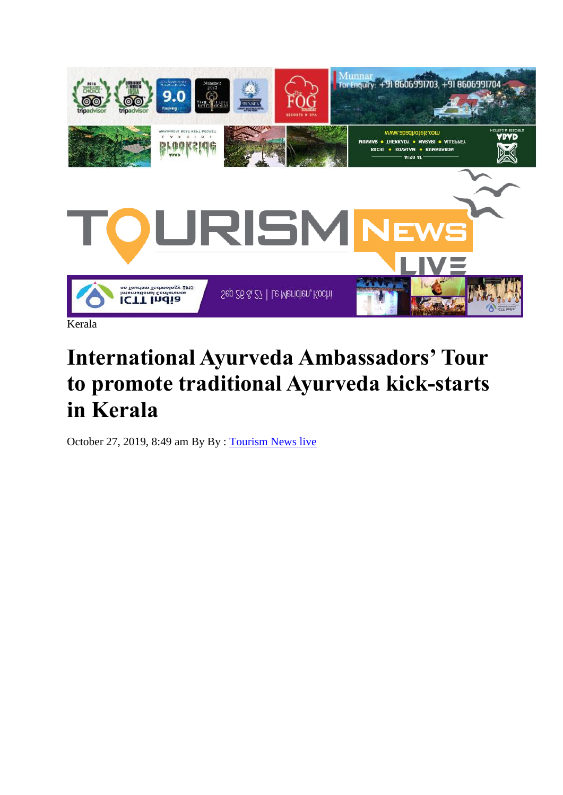

## **International Ayurveda Ambassadors' Tour to promote traditional Ayurveda kick-starts in Kerala**

October 27, 2019, 8:49 am By By : [Tourism News live](http://www.tourismnewslive.com/author/tourismnewslive/)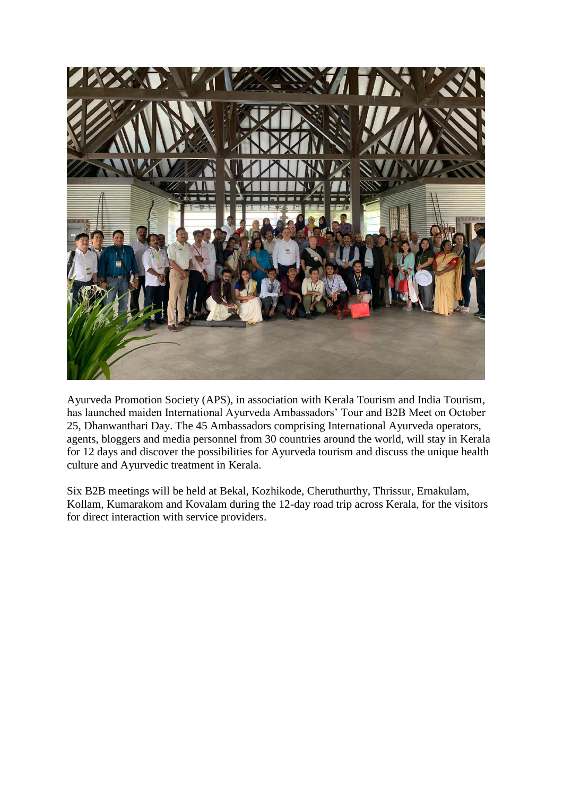

Ayurveda Promotion Society (APS), in association with Kerala Tourism and India Tourism, has launched maiden International Ayurveda Ambassadors' Tour and B2B Meet on October 25, Dhanwanthari Day. The 45 Ambassadors comprising International Ayurveda operators, agents, bloggers and media personnel from 30 countries around the world, will stay in Kerala for 12 days and discover the possibilities for Ayurveda tourism and discuss the unique health culture and Ayurvedic treatment in Kerala.

Six B2B meetings will be held at Bekal, Kozhikode, Cheruthurthy, Thrissur, Ernakulam, Kollam, Kumarakom and Kovalam during the 12-day road trip across Kerala, for the visitors for direct interaction with service providers.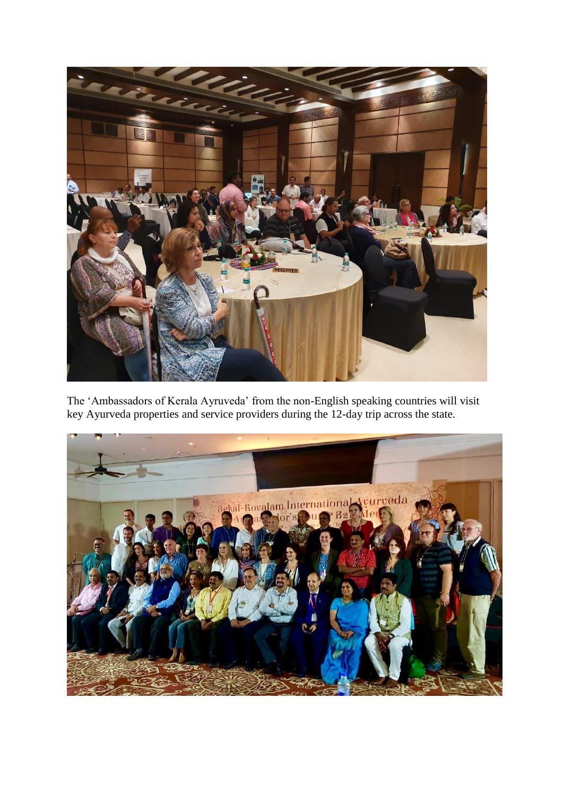

The 'Ambassadors of Kerala Ayruveda' from the non-English speaking countries will visit key Ayurveda properties and service providers during the 12-day trip across the state.